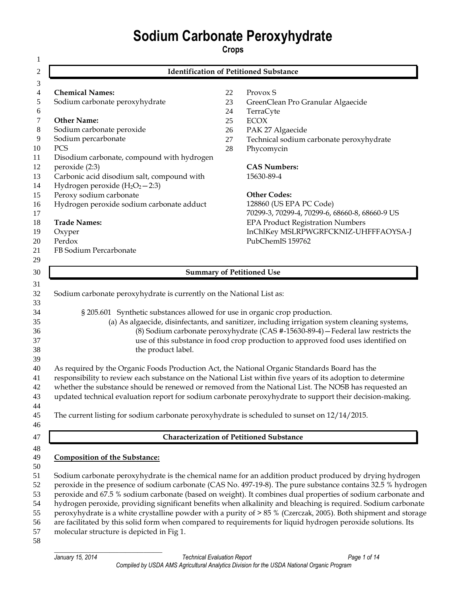# **Sodium Carbonate Peroxyhydrate**

**Crops** 

|                                                                                                                                                                                                                     |        | <b>Identification of Petitioned Substance</b>                                                                                                                                                                                                                                                                                                                                                                                                                                                                                                                                                              |
|---------------------------------------------------------------------------------------------------------------------------------------------------------------------------------------------------------------------|--------|------------------------------------------------------------------------------------------------------------------------------------------------------------------------------------------------------------------------------------------------------------------------------------------------------------------------------------------------------------------------------------------------------------------------------------------------------------------------------------------------------------------------------------------------------------------------------------------------------------|
|                                                                                                                                                                                                                     |        |                                                                                                                                                                                                                                                                                                                                                                                                                                                                                                                                                                                                            |
| <b>Chemical Names:</b>                                                                                                                                                                                              | 22     | Provox S                                                                                                                                                                                                                                                                                                                                                                                                                                                                                                                                                                                                   |
| Sodium carbonate peroxyhydrate                                                                                                                                                                                      | 23     | GreenClean Pro Granular Algaecide                                                                                                                                                                                                                                                                                                                                                                                                                                                                                                                                                                          |
|                                                                                                                                                                                                                     | 24     | TerraCyte                                                                                                                                                                                                                                                                                                                                                                                                                                                                                                                                                                                                  |
| <b>Other Name:</b>                                                                                                                                                                                                  | 25     | <b>ECOX</b>                                                                                                                                                                                                                                                                                                                                                                                                                                                                                                                                                                                                |
| Sodium carbonate peroxide                                                                                                                                                                                           | 26     | PAK 27 Algaecide                                                                                                                                                                                                                                                                                                                                                                                                                                                                                                                                                                                           |
| Sodium percarbonate                                                                                                                                                                                                 | 27     | Technical sodium carbonate peroxyhydrate                                                                                                                                                                                                                                                                                                                                                                                                                                                                                                                                                                   |
| PCS                                                                                                                                                                                                                 | $28\,$ | Phycomycin                                                                                                                                                                                                                                                                                                                                                                                                                                                                                                                                                                                                 |
| Disodium carbonate, compound with hydrogen                                                                                                                                                                          |        |                                                                                                                                                                                                                                                                                                                                                                                                                                                                                                                                                                                                            |
| peroxide (2:3)                                                                                                                                                                                                      |        | <b>CAS Numbers:</b>                                                                                                                                                                                                                                                                                                                                                                                                                                                                                                                                                                                        |
| Carbonic acid disodium salt, compound with                                                                                                                                                                          |        | 15630-89-4                                                                                                                                                                                                                                                                                                                                                                                                                                                                                                                                                                                                 |
| Hydrogen peroxide $(H_2O_2 - 2:3)$                                                                                                                                                                                  |        |                                                                                                                                                                                                                                                                                                                                                                                                                                                                                                                                                                                                            |
| Peroxy sodium carbonate                                                                                                                                                                                             |        | <b>Other Codes:</b>                                                                                                                                                                                                                                                                                                                                                                                                                                                                                                                                                                                        |
| Hydrogen peroxide sodium carbonate adduct                                                                                                                                                                           |        | 128860 (US EPA PC Code)                                                                                                                                                                                                                                                                                                                                                                                                                                                                                                                                                                                    |
|                                                                                                                                                                                                                     |        | 70299-3, 70299-4, 70299-6, 68660-8, 68660-9 US                                                                                                                                                                                                                                                                                                                                                                                                                                                                                                                                                             |
| <b>Trade Names:</b>                                                                                                                                                                                                 |        | <b>EPA Product Registration Numbers</b>                                                                                                                                                                                                                                                                                                                                                                                                                                                                                                                                                                    |
| Oxyper                                                                                                                                                                                                              |        | InChIKey MSLRPWGRFCKNIZ-UHFFFAOYSA-J                                                                                                                                                                                                                                                                                                                                                                                                                                                                                                                                                                       |
| Perdox                                                                                                                                                                                                              |        | PubChemIS 159762                                                                                                                                                                                                                                                                                                                                                                                                                                                                                                                                                                                           |
| FB Sodium Percarbonate                                                                                                                                                                                              |        |                                                                                                                                                                                                                                                                                                                                                                                                                                                                                                                                                                                                            |
|                                                                                                                                                                                                                     |        |                                                                                                                                                                                                                                                                                                                                                                                                                                                                                                                                                                                                            |
|                                                                                                                                                                                                                     |        | <b>Summary of Petitioned Use</b>                                                                                                                                                                                                                                                                                                                                                                                                                                                                                                                                                                           |
| the product label.<br>As required by the Organic Foods Production Act, the National Organic Standards Board has the<br>The current listing for sodium carbonate peroxyhydrate is scheduled to sunset on 12/14/2015. |        | (a) As algaecide, disinfectants, and sanitizer, including irrigation system cleaning systems,<br>(8) Sodium carbonate peroxyhydrate (CAS #-15630-89-4) - Federal law restricts the<br>use of this substance in food crop production to approved food uses identified on<br>responsibility to review each substance on the National List within five years of its adoption to determine<br>whether the substance should be renewed or removed from the National List. The NOSB has requested an<br>updated technical evaluation report for sodium carbonate peroxyhydrate to support their decision-making. |
|                                                                                                                                                                                                                     |        | <b>Characterization of Petitioned Substance</b>                                                                                                                                                                                                                                                                                                                                                                                                                                                                                                                                                            |
|                                                                                                                                                                                                                     |        |                                                                                                                                                                                                                                                                                                                                                                                                                                                                                                                                                                                                            |
| <b>Composition of the Substance:</b>                                                                                                                                                                                |        |                                                                                                                                                                                                                                                                                                                                                                                                                                                                                                                                                                                                            |
|                                                                                                                                                                                                                     |        |                                                                                                                                                                                                                                                                                                                                                                                                                                                                                                                                                                                                            |
|                                                                                                                                                                                                                     |        | Sodium carbonate peroxyhydrate is the chemical name for an addition product produced by drying hydrogen                                                                                                                                                                                                                                                                                                                                                                                                                                                                                                    |
|                                                                                                                                                                                                                     |        | peroxide in the presence of sodium carbonate (CAS No. 497-19-8). The pure substance contains 32.5 % hydrogen                                                                                                                                                                                                                                                                                                                                                                                                                                                                                               |
|                                                                                                                                                                                                                     |        | peroxide and 67.5 % sodium carbonate (based on weight). It combines dual properties of sodium carbonate and                                                                                                                                                                                                                                                                                                                                                                                                                                                                                                |
|                                                                                                                                                                                                                     |        | hydrogen peroxide, providing significant benefits when alkalinity and bleaching is required. Sodium carbonate                                                                                                                                                                                                                                                                                                                                                                                                                                                                                              |
|                                                                                                                                                                                                                     |        | peroxyhydrate is a white crystalline powder with a purity of > 85 % (Czerczak, 2005). Both shipment and storage                                                                                                                                                                                                                                                                                                                                                                                                                                                                                            |
|                                                                                                                                                                                                                     |        | are facilitated by this solid form when compared to requirements for liquid hydrogen peroxide solutions. Its                                                                                                                                                                                                                                                                                                                                                                                                                                                                                               |
| molecular structure is depicted in Fig 1.                                                                                                                                                                           |        |                                                                                                                                                                                                                                                                                                                                                                                                                                                                                                                                                                                                            |
|                                                                                                                                                                                                                     |        |                                                                                                                                                                                                                                                                                                                                                                                                                                                                                                                                                                                                            |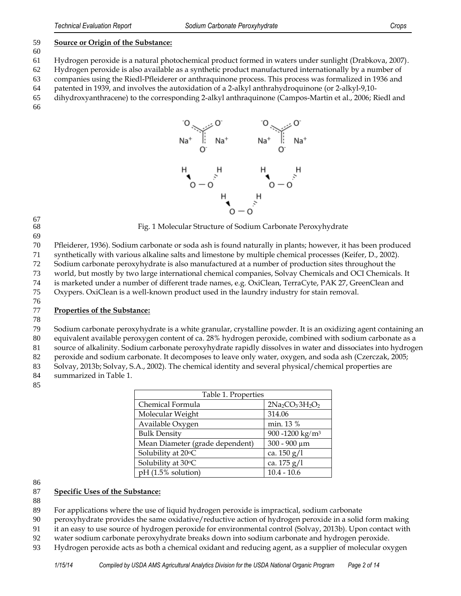#### **Source or Origin of the Substance:**

Hydrogen peroxide is a natural photochemical product formed in waters under sunlight (Drabkova, 2007).

Hydrogen peroxide is also available as a synthetic product manufactured internationally by a number of

companies using the Riedl-Pfleiderer or anthraquinone process. This process was formalized in 1936 and

patented in 1939, and involves the autoxidation of a 2-alkyl anthrahydroquinone (or 2-alkyl-9,10-

 dihydroxyanthracene) to the corresponding 2-alkyl anthraquinone (Campos-Martin et al., 2006; Riedl and 



67<br>68

Fig. 1 Molecular Structure of Sodium Carbonate Peroxyhydrate

Pfleiderer, 1936). Sodium carbonate or soda ash is found naturally in plants; however, it has been produced

synthetically with various alkaline salts and limestone by multiple chemical processes (Keifer, D., 2002).

Sodium carbonate peroxyhydrate is also manufactured at a number of production sites throughout the

world, but mostly by two large international chemical companies, Solvay Chemicals and OCI Chemicals. It

is marketed under a number of different trade names, e.g. OxiClean, TerraCyte, PAK 27, GreenClean and

Oxypers. OxiClean is a well-known product used in the laundry industry for stain removal.

#### 

# **Properties of the Substance:**

 Sodium carbonate peroxyhydrate is a white granular, crystalline powder. It is an oxidizing agent containing an equivalent available peroxygen content of ca. 28% hydrogen peroxide, combined with sodium carbonate as a

source of alkalinity. Sodium carbonate peroxyhydrate rapidly dissolves in water and dissociates into hydrogen

peroxide and sodium carbonate. It decomposes to leave only water, oxygen, and soda ash (Czerczak, 2005;

Solvay, 2013b; Solvay, S.A., 2002). The chemical identity and several physical/chemical properties are

summarized in Table 1.

| Table 1. Properties             |                             |
|---------------------------------|-----------------------------|
| Chemical Formula                | $2Na_2CO_3·3H_2O_2$         |
| Molecular Weight                | 314.06                      |
| Available Oxygen                | min. 13 %                   |
| <b>Bulk Density</b>             | 900 -1200 kg/m <sup>3</sup> |
| Mean Diameter (grade dependent) | $300 - 900 \mu m$           |
| Solubility at 20°C              | ca. $150 g/l$               |
| Solubility at 30°C              | ca. 175 g/l                 |
| $pH (1.5\%$ solution)           | $10.4 - 10.6$               |

# **Specific Uses of the Substance:**

For applications where the use of liquid hydrogen peroxide is impractical, sodium carbonate

peroxyhydrate provides the same oxidative/reductive action of hydrogen peroxide in a solid form making

it an easy to use source of hydrogen peroxide for environmental control (Solvay, 2013b). Upon contact with

water sodium carbonate peroxyhydrate breaks down into sodium carbonate and hydrogen peroxide.

Hydrogen peroxide acts as both a chemical oxidant and reducing agent, as a supplier of molecular oxygen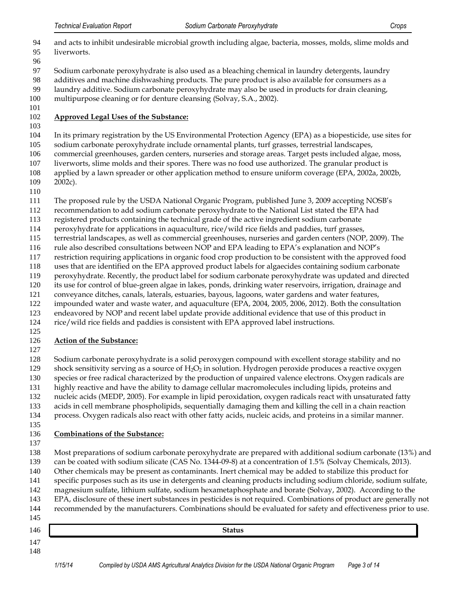| can be coated with sodium silicate (CAS No. 1344-09-8) at a concentration of 1.5% (Solvay Chemicals, 2013).<br>Other chemicals may be present as contaminants. Inert chemical may be added to stabilize this product for<br>specific purposes such as its use in detergents and cleaning products including sodium chloride, sodium sulfate,<br>magnesium sulfate, lithium sulfate, sodium hexametaphosphate and borate (Solvay, 2002). According to the<br>EPA, disclosure of these inert substances in pesticides is not required. Combinations of product are generally not<br>recommended by the manufacturers. Combinations should be evaluated for safety and effectiveness prior to use. |
|-------------------------------------------------------------------------------------------------------------------------------------------------------------------------------------------------------------------------------------------------------------------------------------------------------------------------------------------------------------------------------------------------------------------------------------------------------------------------------------------------------------------------------------------------------------------------------------------------------------------------------------------------------------------------------------------------|
|                                                                                                                                                                                                                                                                                                                                                                                                                                                                                                                                                                                                                                                                                                 |
|                                                                                                                                                                                                                                                                                                                                                                                                                                                                                                                                                                                                                                                                                                 |
|                                                                                                                                                                                                                                                                                                                                                                                                                                                                                                                                                                                                                                                                                                 |
|                                                                                                                                                                                                                                                                                                                                                                                                                                                                                                                                                                                                                                                                                                 |
|                                                                                                                                                                                                                                                                                                                                                                                                                                                                                                                                                                                                                                                                                                 |
|                                                                                                                                                                                                                                                                                                                                                                                                                                                                                                                                                                                                                                                                                                 |
|                                                                                                                                                                                                                                                                                                                                                                                                                                                                                                                                                                                                                                                                                                 |
| Most preparations of sodium carbonate peroxyhydrate are prepared with additional sodium carbonate (13%) and                                                                                                                                                                                                                                                                                                                                                                                                                                                                                                                                                                                     |
|                                                                                                                                                                                                                                                                                                                                                                                                                                                                                                                                                                                                                                                                                                 |
| <b>Combinations of the Substance:</b>                                                                                                                                                                                                                                                                                                                                                                                                                                                                                                                                                                                                                                                           |
|                                                                                                                                                                                                                                                                                                                                                                                                                                                                                                                                                                                                                                                                                                 |
| process. Oxygen radicals also react with other fatty acids, nucleic acids, and proteins in a similar manner.                                                                                                                                                                                                                                                                                                                                                                                                                                                                                                                                                                                    |
| acids in cell membrane phospholipids, sequentially damaging them and killing the cell in a chain reaction                                                                                                                                                                                                                                                                                                                                                                                                                                                                                                                                                                                       |
| nucleic acids (MEDP, 2005). For example in lipid peroxidation, oxygen radicals react with unsaturated fatty                                                                                                                                                                                                                                                                                                                                                                                                                                                                                                                                                                                     |
| highly reactive and have the ability to damage cellular macromolecules including lipids, proteins and                                                                                                                                                                                                                                                                                                                                                                                                                                                                                                                                                                                           |
| species or free radical characterized by the production of unpaired valence electrons. Oxygen radicals are                                                                                                                                                                                                                                                                                                                                                                                                                                                                                                                                                                                      |
| shock sensitivity serving as a source of H <sub>2</sub> O <sub>2</sub> in solution. Hydrogen peroxide produces a reactive oxygen                                                                                                                                                                                                                                                                                                                                                                                                                                                                                                                                                                |
| Sodium carbonate peroxyhydrate is a solid peroxygen compound with excellent storage stability and no                                                                                                                                                                                                                                                                                                                                                                                                                                                                                                                                                                                            |
|                                                                                                                                                                                                                                                                                                                                                                                                                                                                                                                                                                                                                                                                                                 |
| <b>Action of the Substance:</b>                                                                                                                                                                                                                                                                                                                                                                                                                                                                                                                                                                                                                                                                 |
|                                                                                                                                                                                                                                                                                                                                                                                                                                                                                                                                                                                                                                                                                                 |
| rice/wild rice fields and paddies is consistent with EPA approved label instructions.                                                                                                                                                                                                                                                                                                                                                                                                                                                                                                                                                                                                           |
| endeavored by NOP and recent label update provide additional evidence that use of this product in                                                                                                                                                                                                                                                                                                                                                                                                                                                                                                                                                                                               |
|                                                                                                                                                                                                                                                                                                                                                                                                                                                                                                                                                                                                                                                                                                 |
| impounded water and waste water, and aquaculture (EPA, 2004, 2005, 2006, 2012). Both the consultation                                                                                                                                                                                                                                                                                                                                                                                                                                                                                                                                                                                           |
| conveyance ditches, canals, laterals, estuaries, bayous, lagoons, water gardens and water features,                                                                                                                                                                                                                                                                                                                                                                                                                                                                                                                                                                                             |
| its use for control of blue-green algae in lakes, ponds, drinking water reservoirs, irrigation, drainage and                                                                                                                                                                                                                                                                                                                                                                                                                                                                                                                                                                                    |
| peroxyhydrate. Recently, the product label for sodium carbonate peroxyhydrate was updated and directed                                                                                                                                                                                                                                                                                                                                                                                                                                                                                                                                                                                          |
| uses that are identified on the EPA approved product labels for algaecides containing sodium carbonate                                                                                                                                                                                                                                                                                                                                                                                                                                                                                                                                                                                          |
| restriction requiring applications in organic food crop production to be consistent with the approved food                                                                                                                                                                                                                                                                                                                                                                                                                                                                                                                                                                                      |
| rule also described consultations between NOP and EPA leading to EPA's explanation and NOP's                                                                                                                                                                                                                                                                                                                                                                                                                                                                                                                                                                                                    |
| terrestrial landscapes, as well as commercial greenhouses, nurseries and garden centers (NOP, 2009). The                                                                                                                                                                                                                                                                                                                                                                                                                                                                                                                                                                                        |
| peroxyhydrate for applications in aquaculture, rice/wild rice fields and paddies, turf grasses,                                                                                                                                                                                                                                                                                                                                                                                                                                                                                                                                                                                                 |
| registered products containing the technical grade of the active ingredient sodium carbonate                                                                                                                                                                                                                                                                                                                                                                                                                                                                                                                                                                                                    |
| recommendation to add sodium carbonate peroxyhydrate to the National List stated the EPA had                                                                                                                                                                                                                                                                                                                                                                                                                                                                                                                                                                                                    |
| The proposed rule by the USDA National Organic Program, published June 3, 2009 accepting NOSB's                                                                                                                                                                                                                                                                                                                                                                                                                                                                                                                                                                                                 |
|                                                                                                                                                                                                                                                                                                                                                                                                                                                                                                                                                                                                                                                                                                 |
|                                                                                                                                                                                                                                                                                                                                                                                                                                                                                                                                                                                                                                                                                                 |
| $2002c$ ).                                                                                                                                                                                                                                                                                                                                                                                                                                                                                                                                                                                                                                                                                      |
| applied by a lawn spreader or other application method to ensure uniform coverage (EPA, 2002a, 2002b,                                                                                                                                                                                                                                                                                                                                                                                                                                                                                                                                                                                           |
| liverworts, slime molds and their spores. There was no food use authorized. The granular product is                                                                                                                                                                                                                                                                                                                                                                                                                                                                                                                                                                                             |
| commercial greenhouses, garden centers, nurseries and storage areas. Target pests included algae, moss,                                                                                                                                                                                                                                                                                                                                                                                                                                                                                                                                                                                         |
| sodium carbonate peroxyhydrate include ornamental plants, turf grasses, terrestrial landscapes,                                                                                                                                                                                                                                                                                                                                                                                                                                                                                                                                                                                                 |
| In its primary registration by the US Environmental Protection Agency (EPA) as a biopesticide, use sites for                                                                                                                                                                                                                                                                                                                                                                                                                                                                                                                                                                                    |
|                                                                                                                                                                                                                                                                                                                                                                                                                                                                                                                                                                                                                                                                                                 |
| <b>Approved Legal Uses of the Substance:</b>                                                                                                                                                                                                                                                                                                                                                                                                                                                                                                                                                                                                                                                    |
| multipurpose cleaning or for denture cleansing (Solvay, S.A., 2002).                                                                                                                                                                                                                                                                                                                                                                                                                                                                                                                                                                                                                            |
| laundry additive. Sodium carbonate peroxyhydrate may also be used in products for drain cleaning,                                                                                                                                                                                                                                                                                                                                                                                                                                                                                                                                                                                               |
| additives and machine dishwashing products. The pure product is also available for consumers as a                                                                                                                                                                                                                                                                                                                                                                                                                                                                                                                                                                                               |
| Sodium carbonate peroxyhydrate is also used as a bleaching chemical in laundry detergents, laundry                                                                                                                                                                                                                                                                                                                                                                                                                                                                                                                                                                                              |
|                                                                                                                                                                                                                                                                                                                                                                                                                                                                                                                                                                                                                                                                                                 |
| liverworts.                                                                                                                                                                                                                                                                                                                                                                                                                                                                                                                                                                                                                                                                                     |
| and acts to inhibit undesirable microbial growth including algae, bacteria, mosses, molds, slime molds and                                                                                                                                                                                                                                                                                                                                                                                                                                                                                                                                                                                      |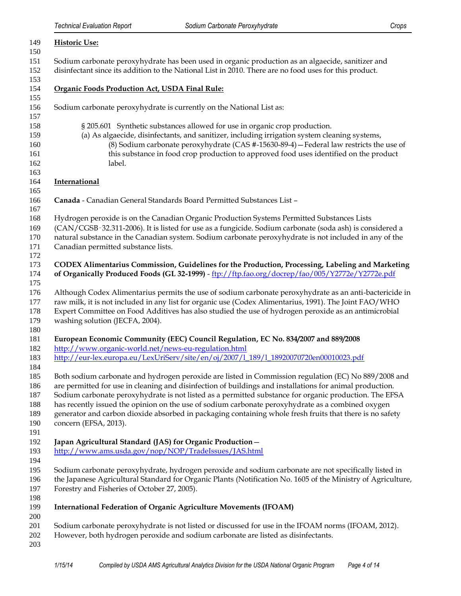| 149                                           | <b>Historic Use:</b>                                                                                                                                                                                                                                                                                                                                                                                                                                                                                                                                                 |
|-----------------------------------------------|----------------------------------------------------------------------------------------------------------------------------------------------------------------------------------------------------------------------------------------------------------------------------------------------------------------------------------------------------------------------------------------------------------------------------------------------------------------------------------------------------------------------------------------------------------------------|
| 150                                           |                                                                                                                                                                                                                                                                                                                                                                                                                                                                                                                                                                      |
| 151<br>152                                    | Sodium carbonate peroxyhydrate has been used in organic production as an algaecide, sanitizer and<br>disinfectant since its addition to the National List in 2010. There are no food uses for this product.                                                                                                                                                                                                                                                                                                                                                          |
| 153<br>154                                    | Organic Foods Production Act, USDA Final Rule:                                                                                                                                                                                                                                                                                                                                                                                                                                                                                                                       |
| 155<br>156<br>157                             | Sodium carbonate peroxyhydrate is currently on the National List as:                                                                                                                                                                                                                                                                                                                                                                                                                                                                                                 |
| 158<br>159<br>160<br>161<br>162<br>163        | § 205.601 Synthetic substances allowed for use in organic crop production.<br>(a) As algaecide, disinfectants, and sanitizer, including irrigation system cleaning systems,<br>(8) Sodium carbonate peroxyhydrate (CAS #-15630-89-4) - Federal law restricts the use of<br>this substance in food crop production to approved food uses identified on the product<br>label.                                                                                                                                                                                          |
| 164<br>165                                    | <b>International</b>                                                                                                                                                                                                                                                                                                                                                                                                                                                                                                                                                 |
| 166<br>167                                    | Canada - Canadian General Standards Board Permitted Substances List -                                                                                                                                                                                                                                                                                                                                                                                                                                                                                                |
| 168<br>169<br>170<br>171<br>172               | Hydrogen peroxide is on the Canadian Organic Production Systems Permitted Substances Lists<br>(CAN/CGSB-32.311-2006). It is listed for use as a fungicide. Sodium carbonate (soda ash) is considered a<br>natural substance in the Canadian system. Sodium carbonate peroxyhydrate is not included in any of the<br>Canadian permitted substance lists.                                                                                                                                                                                                              |
| 173<br>174<br>175                             | CODEX Alimentarius Commission, Guidelines for the Production, Processing, Labeling and Marketing<br>of Organically Produced Foods (GL 32-1999) - ftp://ftp.fao.org/docrep/fao/005/Y2772e/Y2772e.pdf                                                                                                                                                                                                                                                                                                                                                                  |
| 176<br>177<br>178<br>179                      | Although Codex Alimentarius permits the use of sodium carbonate peroxyhydrate as an anti-bactericide in<br>raw milk, it is not included in any list for organic use (Codex Alimentarius, 1991). The Joint FAO/WHO<br>Expert Committee on Food Additives has also studied the use of hydrogen peroxide as an antimicrobial<br>washing solution (JECFA, 2004).                                                                                                                                                                                                         |
| 180<br>181<br>182<br>183                      | European Economic Community (EEC) Council Regulation, EC No. 834/2007 and 889/2008<br>http://www.organic-world.net/news-eu-regulation.html<br>http://eur-lex.europa.eu/LexUriServ/site/en/oj/2007/1_189/1_18920070720en00010023.pdf                                                                                                                                                                                                                                                                                                                                  |
| 184<br>185<br>186<br>187<br>188<br>189<br>190 | Both sodium carbonate and hydrogen peroxide are listed in Commission regulation (EC) No 889/2008 and<br>are permitted for use in cleaning and disinfection of buildings and installations for animal production.<br>Sodium carbonate peroxyhydrate is not listed as a permitted substance for organic production. The EFSA<br>has recently issued the opinion on the use of sodium carbonate peroxyhydrate as a combined oxygen<br>generator and carbon dioxide absorbed in packaging containing whole fresh fruits that there is no safety<br>concern (EFSA, 2013). |
| 191<br>192<br>193<br>194                      | Japan Agricultural Standard (JAS) for Organic Production-<br>http://www.ams.usda.gov/nop/NOP/TradeIssues/JAS.html                                                                                                                                                                                                                                                                                                                                                                                                                                                    |
| 195<br>196<br>197                             | Sodium carbonate peroxyhydrate, hydrogen peroxide and sodium carbonate are not specifically listed in<br>the Japanese Agricultural Standard for Organic Plants (Notification No. 1605 of the Ministry of Agriculture,<br>Forestry and Fisheries of October 27, 2005).                                                                                                                                                                                                                                                                                                |
| 198<br>199                                    | <b>International Federation of Organic Agriculture Movements (IFOAM)</b>                                                                                                                                                                                                                                                                                                                                                                                                                                                                                             |
| 200<br>201<br>202<br>203                      | Sodium carbonate peroxyhydrate is not listed or discussed for use in the IFOAM norms (IFOAM, 2012).<br>However, both hydrogen peroxide and sodium carbonate are listed as disinfectants.                                                                                                                                                                                                                                                                                                                                                                             |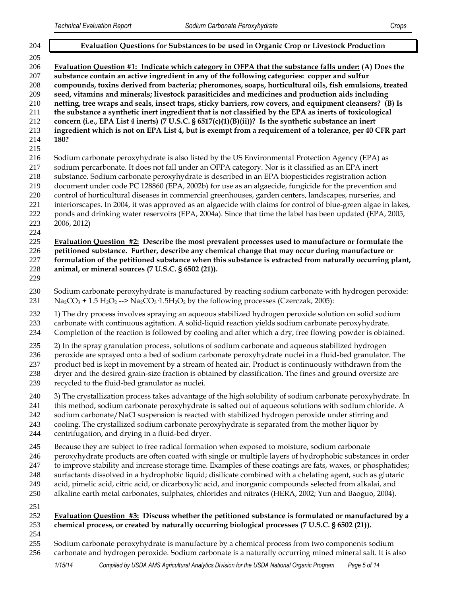| 204                                                                       | Evaluation Questions for Substances to be used in Organic Crop or Livestock Production                                                                                                                                                                                                                                                                                                                                                                                                                                                                                                                                                                                                                                                                                                                                                                                     |
|---------------------------------------------------------------------------|----------------------------------------------------------------------------------------------------------------------------------------------------------------------------------------------------------------------------------------------------------------------------------------------------------------------------------------------------------------------------------------------------------------------------------------------------------------------------------------------------------------------------------------------------------------------------------------------------------------------------------------------------------------------------------------------------------------------------------------------------------------------------------------------------------------------------------------------------------------------------|
| 205<br>206<br>207<br>208<br>209<br>210<br>211<br>212<br>213<br>214<br>215 | Evaluation Question #1: Indicate which category in OFPA that the substance falls under: (A) Does the<br>substance contain an active ingredient in any of the following categories: copper and sulfur<br>compounds, toxins derived from bacteria; pheromones, soaps, horticultural oils, fish emulsions, treated<br>seed, vitamins and minerals; livestock parasiticides and medicines and production aids including<br>netting, tree wraps and seals, insect traps, sticky barriers, row covers, and equipment cleansers? (B) Is<br>the substance a synthetic inert ingredient that is not classified by the EPA as inerts of toxicological<br>concern (i.e., EPA List 4 inerts) (7 U.S.C. § $6517(c)(1)(B)(ii))$ ? Is the synthetic substance an inert<br>ingredient which is not on EPA List 4, but is exempt from a requirement of a tolerance, per 40 CFR part<br>180? |
| 216<br>217<br>218<br>219<br>220<br>221<br>$222\,$<br>223<br>224           | Sodium carbonate peroxyhydrate is also listed by the US Environmental Protection Agency (EPA) as<br>sodium percarbonate. It does not fall under an OFPA category. Nor is it classified as an EPA inert<br>substance. Sodium carbonate peroxyhydrate is described in an EPA biopesticides registration action<br>document under code PC 128860 (EPA, 2002b) for use as an algaecide, fungicide for the prevention and<br>control of horticultural diseases in commercial greenhouses, garden centers, landscapes, nurseries, and<br>interiorscapes. In 2004, it was approved as an algaecide with claims for control of blue-green algae in lakes,<br>ponds and drinking water reservoirs (EPA, 2004a). Since that time the label has been updated (EPA, 2005,<br>2006, 2012)                                                                                               |
| 225<br>226<br>227<br>228<br>229                                           | Evaluation Question #2: Describe the most prevalent processes used to manufacture or formulate the<br>petitioned substance. Further, describe any chemical change that may occur during manufacture or<br>formulation of the petitioned substance when this substance is extracted from naturally occurring plant,<br>animal, or mineral sources (7 U.S.C. § 6502 (21)).                                                                                                                                                                                                                                                                                                                                                                                                                                                                                                   |
| 230<br>231                                                                | Sodium carbonate peroxyhydrate is manufactured by reacting sodium carbonate with hydrogen peroxide:<br>$Na_2CO_3 + 1.5 H_2O_2$ --> $Na_2CO_3$ 1.5H <sub>2</sub> O <sub>2</sub> by the following processes (Czerczak, 2005):                                                                                                                                                                                                                                                                                                                                                                                                                                                                                                                                                                                                                                                |
| 232<br>233<br>234                                                         | 1) The dry process involves spraying an aqueous stabilized hydrogen peroxide solution on solid sodium<br>carbonate with continuous agitation. A solid-liquid reaction yields sodium carbonate peroxyhydrate.<br>Completion of the reaction is followed by cooling and after which a dry, free flowing powder is obtained.                                                                                                                                                                                                                                                                                                                                                                                                                                                                                                                                                  |
| 235<br>236<br>237<br>238<br>239                                           | 2) In the spray granulation process, solutions of sodium carbonate and aqueous stabilized hydrogen<br>peroxide are sprayed onto a bed of sodium carbonate peroxyhydrate nuclei in a fluid-bed granulator. The<br>product bed is kept in movement by a stream of heated air. Product is continuously withdrawn from the<br>dryer and the desired grain-size fraction is obtained by classification. The fines and ground oversize are<br>recycled to the fluid-bed granulator as nuclei.                                                                                                                                                                                                                                                                                                                                                                                    |
| 240<br>241<br>242<br>243<br>244                                           | 3) The crystallization process takes advantage of the high solubility of sodium carbonate peroxyhydrate. In<br>this method, sodium carbonate peroxyhydrate is salted out of aqueous solutions with sodium chloride. A<br>sodium carbonate/NaCl suspension is reacted with stabilized hydrogen peroxide under stirring and<br>cooling. The crystallized sodium carbonate peroxyhydrate is separated from the mother liquor by<br>centrifugation, and drying in a fluid-bed dryer.                                                                                                                                                                                                                                                                                                                                                                                           |
| 245<br>246<br>247<br>248<br>249<br>250                                    | Because they are subject to free radical formation when exposed to moisture, sodium carbonate<br>peroxyhydrate products are often coated with single or multiple layers of hydrophobic substances in order<br>to improve stability and increase storage time. Examples of these coatings are fats, waxes, or phosphatides;<br>surfactants dissolved in a hydrophobic liquid; disilicate combined with a chelating agent, such as glutaric<br>acid, pimelic acid, citric acid, or dicarboxylic acid, and inorganic compounds selected from alkalai, and<br>alkaline earth metal carbonates, sulphates, chlorides and nitrates (HERA, 2002; Yun and Baoguo, 2004).                                                                                                                                                                                                           |
| 251<br>252<br>253                                                         | Evaluation Question $#3$ : Discuss whether the petitioned substance is formulated or manufactured by a<br>chemical process, or created by naturally occurring biological processes (7 U.S.C. § 6502 (21)).                                                                                                                                                                                                                                                                                                                                                                                                                                                                                                                                                                                                                                                                 |
| 254<br>255<br>256                                                         | Sodium carbonate peroxyhydrate is manufacture by a chemical process from two components sodium<br>carbonate and hydrogen peroxide. Sodium carbonate is a naturally occurring mined mineral salt. It is also                                                                                                                                                                                                                                                                                                                                                                                                                                                                                                                                                                                                                                                                |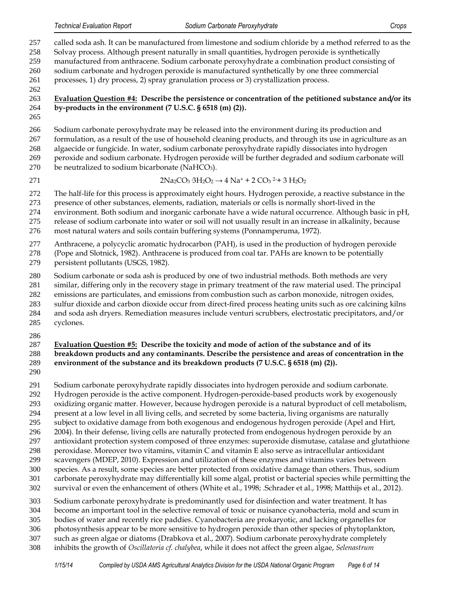called soda ash. It can be manufactured from limestone and sodium chloride by a method referred to as the Solvay process. Although present naturally in small quantities, hydrogen peroxide is synthetically manufactured from anthracene. Sodium carbonate peroxyhydrate a combination product consisting of sodium carbonate and hydrogen peroxide is manufactured synthetically by one three commercial

processes, 1) dry process, 2) spray granulation process or 3) crystallization process.

## **Evaluation Question #4: Describe the persistence or concentration of the petitioned substance and/or its by-products in the environment (7 U.S.C. § 6518 (m) (2)).**

 Sodium carbonate peroxyhydrate may be released into the environment during its production and formulation, as a result of the use of household cleaning products, and through its use in agriculture as an algaecide or fungicide. In water, sodium carbonate peroxyhydrate rapidly dissociates into hydrogen peroxide and sodium carbonate. Hydrogen peroxide will be further degraded and sodium carbonate will 270 be neutralized to sodium bicarbonate (NaHCO<sub>3</sub>).

271 2Na<sub>2</sub>CO<sub>3</sub> 3H<sub>2</sub>O<sub>2</sub>  $\rightarrow$  4 Na<sup>+</sup> + 2 CO<sub>3</sub><sup>2</sup>+ 3 H<sub>2</sub>O<sub>2</sub>

The half-life for this process is approximately eight hours. Hydrogen peroxide, a reactive substance in the

presence of other substances, elements, radiation, materials or cells is normally short-lived in the

environment. Both sodium and inorganic carbonate have a wide natural occurrence. Although basic in pH,

release of sodium carbonate into water or soil will not usually result in an increase in alkalinity, because

most natural waters and soils contain buffering systems (Ponnamperuma, 1972).

Anthracene, a polycyclic aromatic hydrocarbon (PAH), is used in the production of hydrogen peroxide

(Pope and Slotnick, 1982). Anthracene is produced from coal tar. PAHs are known to be potentially

persistent pollutants (USGS, 1982).

Sodium carbonate or soda ash is produced by one of two industrial methods. Both methods are very

 similar, differing only in the recovery stage in primary treatment of the raw material used. The principal emissions are particulates, and emissions from combustion such as carbon monoxide, nitrogen oxides,

- sulfur dioxide and carbon dioxide occur from direct-fired process heating units such as ore calcining kilns
- and soda ash dryers. Remediation measures include venturi scrubbers, electrostatic precipitators, and/or

cyclones.

#### **Evaluation Question #5: Describe the toxicity and mode of action of the substance and of its breakdown products and any contaminants. Describe the persistence and areas of concentration in the environment of the substance and its breakdown products (7 U.S.C. § 6518 (m) (2)).**

Sodium carbonate peroxyhydrate rapidly dissociates into hydrogen peroxide and sodium carbonate.

Hydrogen peroxide is the active component. Hydrogen-peroxide-based products work by exogenously

oxidizing organic matter. However, because hydrogen peroxide is a natural byproduct of cell metabolism,

- present at a low level in all living cells, and secreted by some bacteria, living organisms are naturally
- subject to oxidative damage from both exogenous and endogenous hydrogen peroxide (Apel and Hirt,
- 2004). In their defense, living cells are naturally protected from endogenous hydrogen peroxide by an
- antioxidant protection system composed of three enzymes: superoxide dismutase, catalase and glutathione
- peroxidase. Moreover two vitamins, vitamin C and vitamin E also serve as intracellular antioxidant
- scavengers (MDEP, 2010). Expression and utilization of these enzymes and vitamins varies between
- species. As a result, some species are better protected from oxidative damage than others. Thus, sodium
- carbonate peroxyhydrate may differentially kill some algal, protist or bacterial species while permitting the survival or even the enhancement of others (White et al., 1998; .Schrader et al., 1998; Matthijs et al., 2012).
- Sodium carbonate peroxyhydrate is predominantly used for disinfection and water treatment. It has
- become an important tool in the selective removal of toxic or nuisance cyanobacteria, mold and scum in
- bodies of water and recently rice paddies. Cyanobacteria are prokaryotic, and lacking organelles for
- photosynthesis appear to be more sensitive to hydrogen peroxide than other species of phytoplankton,
- such as green algae or diatoms (Drabkova et al., 2007). Sodium carbonate peroxyhydrate completely
- inhibits the growth of *Oscillatoria cf. chalybea*, while it does not affect the green algae, *Selenastrum*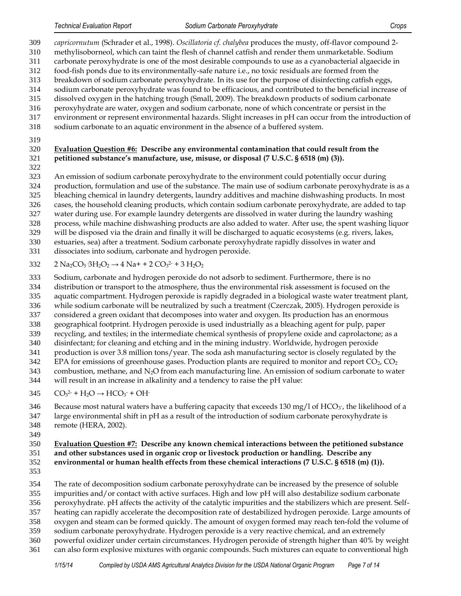*capricornutum* (Schrader et al., 1998). *Oscillatoria cf. chalybea* produces the musty, off-flavor compound 2- methylisoborneol, which can taint the flesh of channel catfish and render them unmarketable. Sodium carbonate peroxyhydrate is one of the most desirable compounds to use as a cyanobacterial algaecide in food-fish ponds due to its environmentally-safe nature i.e., no toxic residuals are formed from the breakdown of sodium carbonate peroxyhydrate. In its use for the purpose of disinfecting catfish eggs, sodium carbonate peroxyhydrate was found to be efficacious, and contributed to the beneficial increase of dissolved oxygen in the hatching trough (Small, 2009). The breakdown products of sodium carbonate peroxyhydrate are water, oxygen and sodium carbonate, none of which concentrate or persist in the environment or represent environmental hazards. Slight increases in pH can occur from the introduction of sodium carbonate to an aquatic environment in the absence of a buffered system.

# **Evaluation Question #6: Describe any environmental contamination that could result from the petitioned substance's manufacture, use, misuse, or disposal (7 U.S.C. § 6518 (m) (3)).**

An emission of sodium carbonate peroxyhydrate to the environment could potentially occur during

production, formulation and use of the substance. The main use of sodium carbonate peroxyhydrate is as a

- bleaching chemical in laundry detergents, laundry additives and machine dishwashing products. In most
- cases, the household cleaning products, which contain sodium carbonate peroxyhydrate, are added to tap
- water during use. For example laundry detergents are dissolved in water during the laundry washing process, while machine dishwashing products are also added to water. After use, the spent washing liquor
- will be disposed via the drain and finally it will be discharged to aquatic ecosystems (e.g. rivers, lakes,
- estuaries, sea) after a treatment. Sodium carbonate peroxyhydrate rapidly dissolves in water and
- dissociates into sodium, carbonate and hydrogen peroxide.

 $332 \qquad 2 \text{ Na}_2\text{CO}_3 \cdot 3\text{H}_2\text{O}_2 \rightarrow 4 \text{ Na} + 2 \text{ CO}_3^2$  + 3  $\text{H}_2\text{O}_2$ 

Sodium, carbonate and hydrogen peroxide do not adsorb to sediment. Furthermore, there is no

- distribution or transport to the atmosphere, thus the environmental risk assessment is focused on the
- aquatic compartment. Hydrogen peroxide is rapidly degraded in a biological waste water treatment plant, while sodium carbonate will be neutralized by such a treatment (Czerczak, 2005). Hydrogen peroxide is
- considered a green oxidant that decomposes into water and oxygen. Its production has an enormous
- geographical footprint. Hydrogen peroxide is used industrially as a bleaching agent for pulp, paper
- recycling, and textiles; in the intermediate chemical synthesis of propylene oxide and caprolactone; as a
- disinfectant; for cleaning and etching and in the mining industry. Worldwide, hydrogen peroxide
- production is over 3.8 million tons/year. The soda ash manufacturing sector is closely regulated by the
- EPA for emissions of greenhouse gases. Production plants are required to monitor and report  $CO<sub>2</sub>$ ,  $CO<sub>2</sub>$
- 343 combustion, methane, and  $N_2O$  from each manufacturing line. An emission of sodium carbonate to water will result in an increase in alkalinity and a tendency to raise the pH value:
- 345  $CO_3^2$  + H<sub>2</sub>O  $\rightarrow$  HCO<sub>3</sub> + OH
- 346 Because most natural waters have a buffering capacity that exceeds  $130 \text{ mg/l}$  of HCO<sub>3</sub><sup>-</sup>, the likelihood of a
- large environmental shift in pH as a result of the introduction of sodium carbonate peroxyhydrate is remote (HERA, 2002).
- 

#### **Evaluation Question #7: Describe any known chemical interactions between the petitioned substance and other substances used in organic crop or livestock production or handling. Describe any environmental or human health effects from these chemical interactions (7 U.S.C. § 6518 (m) (1)).**

 The rate of decomposition sodium carbonate peroxyhydrate can be increased by the presence of soluble impurities and/or contact with active surfaces. High and low pH will also destabilize sodium carbonate peroxyhydrate. pH affects the activity of the catalytic impurities and the stabilizers which are present. Self- heating can rapidly accelerate the decomposition rate of destabilized hydrogen peroxide. Large amounts of oxygen and steam can be formed quickly. The amount of oxygen formed may reach ten-fold the volume of sodium carbonate peroxyhydrate. Hydrogen peroxide is a very reactive chemical, and an extremely powerful oxidizer under certain circumstances. Hydrogen peroxide of strength higher than 40% by weight can also form explosive mixtures with organic compounds. Such mixtures can equate to conventional high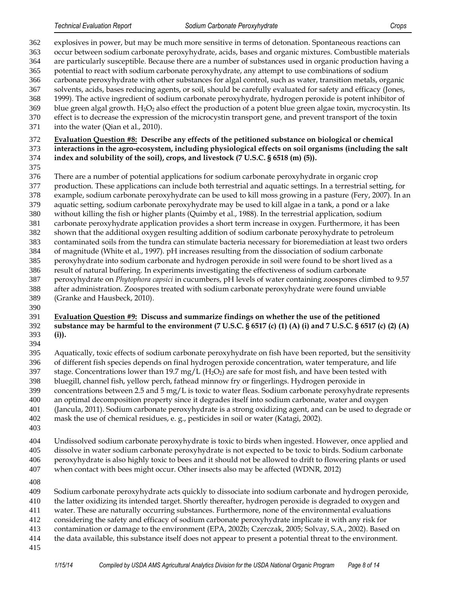explosives in power, but may be much more sensitive in terms of detonation. Spontaneous reactions can occur between sodium carbonate peroxyhydrate, acids, bases and organic mixtures. Combustible materials are particularly susceptible. Because there are a number of substances used in organic production having a potential to react with sodium carbonate peroxyhydrate, any attempt to use combinations of sodium carbonate peroxyhydrate with other substances for algal control, such as water, transition metals, organic solvents, acids, bases reducing agents, or soil, should be carefully evaluated for safety and efficacy (Jones, 1999). The active ingredient of sodium carbonate peroxyhydrate, hydrogen peroxide is potent inhibitor of 369 blue green algal growth.  $H_2O_2$  also effect the production of a potent blue green algae toxin, mycrocystin. Its effect is to decrease the expression of the microcystin transport gene, and prevent transport of the toxin into the water (Qian et al., 2010). **Evaluation Question #8: Describe any effects of the petitioned substance on biological or chemical interactions in the agro-ecosystem, including physiological effects on soil organisms (including the salt index and solubility of the soil), crops, and livestock (7 U.S.C. § 6518 (m) (5)).** There are a number of potential applications for sodium carbonate peroxyhydrate in organic crop production. These applications can include both terrestrial and aquatic settings. In a terrestrial setting, for example, sodium carbonate peroxyhydrate can be used to kill moss growing in a pasture (Fery, 2007). In an aquatic setting, sodium carbonate peroxyhydrate may be used to kill algae in a tank, a pond or a lake without killing the fish or higher plants (Quimby et al., 1988). In the terrestrial application, sodium carbonate peroxyhydrate application provides a short term increase in oxygen. Furthermore, it has been shown that the additional oxygen resulting addition of sodium carbonate peroxyhydrate to petroleum

- contaminated soils from the tundra can stimulate bacteria necessary for bioremediation at least two orders of magnitude (White et al., 1997). pH increases resulting from the dissociation of sodium carbonate
- peroxyhydrate into sodium carbonate and hydrogen peroxide in soil were found to be short lived as a
- result of natural buffering. In experiments investigating the effectiveness of sodium carbonate
- peroxyhydrate on *Phytophora capsici* in cucumbers, pH levels of water containing zoospores climbed to 9.57 after administration. Zoospores treated with sodium carbonate peroxyhydrate were found unviable
- (Granke and Hausbeck, 2010).
- **Evaluation Question #9: Discuss and summarize findings on whether the use of the petitioned**
- **substance may be harmful to the environment (7 U.S.C. § 6517 (c) (1) (A) (i) and 7 U.S.C. § 6517 (c) (2) (A) (i)).**
- 

 Aquatically, toxic effects of sodium carbonate peroxyhydrate on fish have been reported, but the sensitivity of different fish species depends on final hydrogen peroxide concentration, water temperature, and life

- 397 stage. Concentrations lower than 19.7 mg/L  $(H_2O_2)$  are safe for most fish, and have been tested with
- bluegill, channel fish, yellow perch, fathead minnow fry or fingerlings. Hydrogen peroxide in
- 399 concentrations between 2.5 and  $5 \text{ mg/L}$  is toxic to water fleas. Sodium carbonate peroxyhydrate represents
- an optimal decomposition property since it degrades itself into sodium carbonate, water and oxygen
- (Jancula, 2011). Sodium carbonate peroxyhydrate is a strong oxidizing agent, and can be used to degrade or
- mask the use of chemical residues, e. g., pesticides in soil or water (Katagi, 2002).
- 

 Undissolved sodium carbonate peroxyhydrate is toxic to birds when ingested. However, once applied and dissolve in water sodium carbonate peroxyhydrate is not expected to be toxic to birds. Sodium carbonate peroxyhydrate is also highly toxic to bees and it should not be allowed to drift to flowering plants or used when contact with bees might occur. Other insects also may be affected (WDNR, 2012)

- 
- Sodium carbonate peroxyhydrate acts quickly to dissociate into sodium carbonate and hydrogen peroxide, the latter oxidizing its intended target. Shortly thereafter, hydrogen peroxide is degraded to oxygen and water. These are naturally occurring substances. Furthermore, none of the environmental evaluations considering the safety and efficacy of sodium carbonate peroxyhydrate implicate it with any risk for contamination or damage to the environment (EPA, 2002b; Czerczak, 2005; Solvay, S.A., 2002). Based on the data available, this substance itself does not appear to present a potential threat to the environment.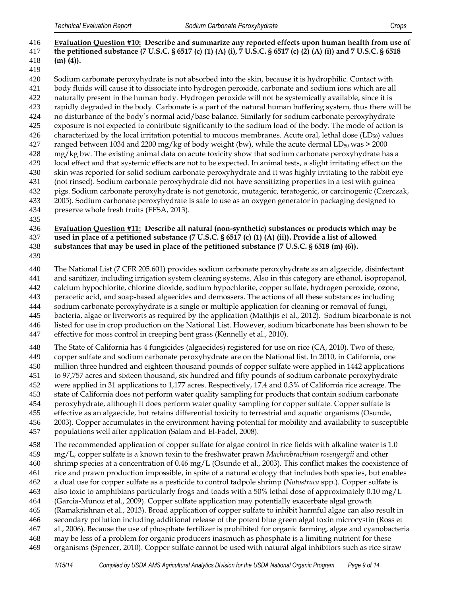## **Evaluation Question #10: Describe and summarize any reported effects upon human health from use of the petitioned substance (7 U.S.C. § 6517 (c) (1) (A) (i), 7 U.S.C. § 6517 (c) (2) (A) (i)) and 7 U.S.C. § 6518 (m) (4)).**

 Sodium carbonate peroxyhydrate is not absorbed into the skin, because it is hydrophilic. Contact with body fluids will cause it to dissociate into hydrogen peroxide, carbonate and sodium ions which are all naturally present in the human body. Hydrogen peroxide will not be systemically available, since it is rapidly degraded in the body. Carbonate is a part of the natural human buffering system, thus there will be no disturbance of the body's normal acid/base balance. Similarly for sodium carbonate peroxyhydrate exposure is not expected to contribute significantly to the sodium load of the body. The mode of action is 426 characterized by the local irritation potential to mucous membranes. Acute oral, lethal dose  $(LD_{50})$  values 427 ranged between 1034 and 2200 mg/kg of body weight (bw), while the acute dermal LD<sub>50</sub> was  $>$  2000 mg/kg bw. The existing animal data on acute toxicity show that sodium carbonate peroxyhydrate has a

- local effect and that systemic effects are not to be expected. In animal tests, a slight irritating effect on the skin was reported for solid sodium carbonate peroxyhydrate and it was highly irritating to the rabbit eye
- (not rinsed). Sodium carbonate peroxyhydrate did not have sensitizing properties in a test with guinea
- pigs. Sodium carbonate peroxyhydrate is not genotoxic, mutagenic, teratogenic, or carcinogenic (Czerczak,
- 2005). Sodium carbonate peroxyhydrate is safe to use as an oxygen generator in packaging designed to
- preserve whole fresh fruits (EFSA, 2013).
- 

## **Evaluation Question #11: Describe all natural (non-synthetic) substances or products which may be used in place of a petitioned substance (7 U.S.C. § 6517 (c) (1) (A) (ii)). Provide a list of allowed substances that may be used in place of the petitioned substance (7 U.S.C. § 6518 (m) (6)).**

The National List (7 CFR 205.601) provides sodium carbonate peroxyhydrate as an algaecide, disinfectant

and sanitizer, including irrigation system cleaning systems. Also in this category are ethanol, isopropanol,

- calcium hypochlorite, chlorine dioxide, sodium hypochlorite, copper sulfate, hydrogen peroxide, ozone,
- peracetic acid, and soap-based algaecides and demossers. The actions of all these substances including
- sodium carbonate peroxyhydrate is a single or multiple application for cleaning or removal of fungi,
- bacteria, algae or liverworts as required by the application (Matthjis et al., 2012). Sodium bicarbonate is not
- listed for use in crop production on the National List. However, sodium bicarbonate has been shown to be
- effective for moss control in creeping bent grass (Kennelly et al., 2010).
- The State of California has 4 fungicides (algaecides) registered for use on rice (CA, 2010). Two of these,
- copper sulfate and sodium carbonate peroxyhydrate are on the National list. In 2010, in California, one
- million three hundred and eighteen thousand pounds of copper sulfate were applied in 1442 applications
- to 97,757 acres and sixteen thousand, six hundred and fifty pounds of sodium carbonate peroxyhydrate
- were applied in 31 applications to 1,177 acres. Respectively, 17.4 and 0.3% of California rice acreage. The
- state of California does not perform water quality sampling for products that contain sodium carbonate
- peroxyhydrate, although it does perform water quality sampling for copper sulfate. Copper sulfate is
- effective as an algaecide, but retains differential toxicity to terrestrial and aquatic organisms (Osunde,
- 2003). Copper accumulates in the environment having potential for mobility and availability to susceptible populations well after application (Salam and El-Fadel, 2008).
- The recommended application of copper sulfate for algae control in rice fields with alkaline water is 1.0
- mg/L, copper sulfate is a known toxin to the freshwater prawn *Machrobrachium rosengergii* and other
- shrimp species at a concentration of 0.46 mg/L (Osunde et al., 2003). This conflict makes the coexistence of
- rice and prawn production impossible, in spite of a natural ecology that includes both species, but enables
- a dual use for copper sulfate as a pesticide to control tadpole shrimp (*Notostraca* spp.). Copper sulfate is
- also toxic to amphibians particularly frogs and toads with a 50% lethal dose of approximately 0.10 mg/L (Garcia-Munoz et al., 2009). Copper sulfate application may potentially exacerbate algal growth
- (Ramakrishnan et al., 2013). Broad application of copper sulfate to inhibit harmful algae can also result in
- secondary pollution including additional release of the potent blue green algal toxin microcystin (Ross et
- al., 2006). Because the use of phosphate fertilizer is prohibited for organic farming, algae and cyanobacteria
- may be less of a problem for organic producers inasmuch as phosphate is a limiting nutrient for these
- organisms (Spencer, 2010). Copper sulfate cannot be used with natural algal inhibitors such as rice straw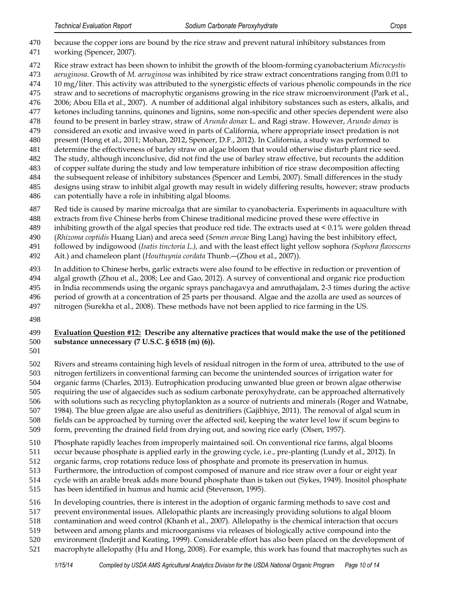- because the copper ions are bound by the rice straw and prevent natural inhibitory substances from
- working (Spencer, 2007).
- Rice straw extract has been shown to inhibit the growth of the bloom-forming cyanobacterium *Microcystis*
- *aeruginosa*. Growth of *M. aeruginosa* was inhibited by rice straw extract concentrations ranging from 0.01 to
- 10 mg/liter. This activity was attributed to the synergistic effects of various phenolic compounds in the rice
- straw and to secretions of macrophytic organisms growing in the rice straw microenvironment (Park et al.,
- 2006; Abou Ella et al., 2007). A number of additional algal inhibitory substances such as esters, alkalis, and ketones including tannins, quinones and lignins, some non-specific and other species dependent were also
- found to be present in barley straw, straw of *Arundo donax* L. and Ragi straw. However, *Arundo donax* is
- considered an exotic and invasive weed in parts of California, where appropriate insect predation is not
- present (Hong et al., 2011; Mohan, 2012, Spencer, D.F., 2012). In California, a study was performed to
- determine the effectiveness of barley straw on algae bloom that would otherwise disturb plant rice seed.
- The study, although inconclusive, did not find the use of barley straw effective, but recounts the addition
- of copper sulfate during the study and low temperature inhibition of rice straw decomposition affecting
- the subsequent release of inhibitory substances (Spencer and Lembi, 2007). Small differences in the study designs using straw to inhibit algal growth may result in widely differing results, however; straw products
- can potentially have a role in inhibiting algal blooms.
- Red tide is caused by marine microalga that are similar to cyanobacteria. Experiments in aquaculture with
- extracts from five Chinese herbs from Chinese traditional medicine proved these were effective in
- inhibiting growth of the algal species that produce red tide. The extracts used at < 0.1% were golden thread
- (*Rhizoma coptidis* Huang Lian) and areca seed (*Semen arecae* Bing Lang) having the best inhibitory effect,
- followed by indigowood (*Isatis tinctoria L.),* and with the least effect light yellow sophora *(Sophora flavescens*
- Ait.) and chameleon plant (*Houttuynia cordata* Thunb.―(Zhou et al., 2007)).
- In addition to Chinese herbs, garlic extracts were also found to be effective in reduction or prevention of
- algal growth (Zhou et al., 2008; Lee and Gao, 2012). A survey of conventional and organic rice production
- in India recommends using the organic sprays panchagavya and amruthajalam, 2-3 times during the active
- period of growth at a concentration of 25 parts per thousand. Algae and the azolla are used as sources of
- nitrogen (Surekha et al., 2008). These methods have not been applied to rice farming in the US.
- 

# **Evaluation Question #12: Describe any alternative practices that would make the use of the petitioned substance unnecessary (7 U.S.C. § 6518 (m) (6)).**

Rivers and streams containing high levels of residual nitrogen in the form of urea, attributed to the use of

nitrogen fertilizers in conventional farming can become the unintended sources of irrigation water for

- organic farms (Charles, 2013). Eutrophication producing unwanted blue green or brown algae otherwise
- requiring the use of algaecides such as sodium carbonate peroxyhydrate, can be approached alternatively
- with solutions such as recycling phytoplankton as a source of nutrients and minerals (Roger and Watnabe,
- 1984). The blue green algae are also useful as denitrifiers (Gajibhiye, 2011). The removal of algal scum in
- fields can be approached by turning over the affected soil, keeping the water level low if scum begins to
- form, preventing the drained field from drying out, and sowing rice early (Olsen, 1957).
- Phosphate rapidly leaches from improperly maintained soil. On conventional rice farms, algal blooms
- occur because phosphate is applied early in the growing cycle, i.e., pre-planting (Lundy et al., 2012). In
- organic farms, crop rotations reduce loss of phosphate and promote its preservation in humus.
- Furthermore, the introduction of compost composed of manure and rice straw over a four or eight year
- cycle with an arable break adds more bound phosphate than is taken out (Sykes, 1949). Inositol phosphate
- has been identified in humus and humic acid (Stevenson, 1995).
- In developing countries, there is interest in the adoption of organic farming methods to save cost and
- prevent environmental issues. Allelopathic plants are increasingly providing solutions to algal bloom
- contamination and weed control (Khanh et al., 2007). Allelopathy is the chemical interaction that occurs
- between and among plants and microorganisms via releases of biologically active compound into the
- environment (Inderjit and Keating, 1999). Considerable effort has also been placed on the development of
- macrophyte allelopathy (Hu and Hong, 2008). For example, this work has found that macrophytes such as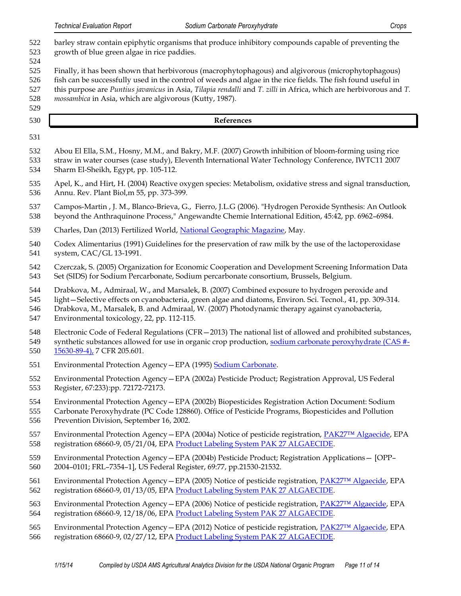- *Technical Evaluation Report Sodium Carbonate Peroxyhydrate Crops* barley straw contain epiphytic organisms that produce inhibitory compounds capable of preventing the growth of blue green algae in rice paddies. Finally, it has been shown that herbivorous (macrophytophagous) and algivorous (microphytophagous) fish can be successfully used in the control of weeds and algae in the rice fields. The fish found useful in this purpose are *Puntius javanicus* in Asia, *Tilapia rendalli* and *T. zilli* in Africa, which are herbivorous and *T. mossambica* in Asia, which are algivorous (Kutty, 1987). **References** Abou El Ella, S.M., Hosny, M.M., and Bakry, M.F. (2007) Growth inhibition of bloom-forming using rice straw in water courses (case study), Eleventh International Water Technology Conference, IWTC11 2007 Sharm El-Sheikh, Egypt, pp. 105-112. Apel, K., and Hirt, H. (2004) Reactive oxygen species: Metabolism, oxidative stress and signal transduction, Annu. Rev. Plant Biol,m 55, pp. 373-399. Campos-Martin , J. M., Blanco-Brieva, G., Fierro, J.L.G (2006). "Hydrogen Peroxide Synthesis: An Outlook beyond the Anthraquinone Process," Angewandte Chemie International Edition, 45:42, pp. 6962–6984. 539 Charles, Dan (2013) Fertilized World, [National Geographic Magazine,](http://ngm.nationalgeographic.com/2013/05/fertilized-world/charles-text) May. Codex Alimentarius (1991) Guidelines for the preservation of raw milk by the use of the lactoperoxidase system, CAC/GL 13-1991. Czerczak, S. (2005) Organization for Economic Cooperation and Development Screening Information Data Set (SIDS) for Sodium Percarbonate, Sodium percarbonate consortium, Brussels, Belgium. Drabkova, M., Admiraal, W., and Marsalek, B. (2007) Combined exposure to hydrogen peroxide and light—Selective effects on cyanobacteria, green algae and diatoms, Environ. Sci. Tecnol., 41, pp. 309-314. Drabkova, M., Marsalek, B. and Admiraal, W. (2007) Photodynamic therapy against cyanobacteria, Environmental toxicology, 22, pp. 112-115. Electronic Code of Federal Regulations (CFR—2013) The national list of allowed and prohibited substances, 549 synthetic substances allowed for use in organic crop production, [sodium carbonate peroxyhydrate \(CAS #-](http://www.ecfr.gov/cgi-bin/text-idx?c=ecfr&SID=9874504b6f1025eb0e6b67cadf9d3b40&rgn=div6&view=text&node=7:3.1.1.9.32.7&idno=7#7:3.1.1.9.32.7.354.2) [15630-89-4\),](http://www.ecfr.gov/cgi-bin/text-idx?c=ecfr&SID=9874504b6f1025eb0e6b67cadf9d3b40&rgn=div6&view=text&node=7:3.1.1.9.32.7&idno=7#7:3.1.1.9.32.7.354.2) 7 CFR 205.601. 551 Environmental Protection Agency - EPA (1995) [Sodium Carbonate.](http://www.epa.gov/ttnchie1/ap42/ch08/final/c08s12.pdf) Environmental Protection Agency—EPA (2002a) Pesticide Product; Registration Approval, US Federal Register, 67:233):pp. 72172-72173. Environmental Protection Agency—EPA (2002b) Biopesticides Registration Action Document: Sodium Carbonate Peroxyhydrate (PC Code 128860). Office of Pesticide Programs, Biopesticides and Pollution Prevention Division, September 16, 2002. Environmental Protection Agency—EPA (2004a) Notice of pesticide registration, [PAK27™ Algaecide](http://www.epa.gov/pesticides/chem_search/ppls/068660-00009-20040521.pdf), EPA 558 registration 68660-9, 05/21/04, EPA [Product Labeling System PAK 27 ALGAECIDE.](http://iaspub.epa.gov/apex/pesticides/f?p=PPLS:102:::NO::P102_REG_NUM:68660-9) Environmental Protection Agency—EPA (2004b) Pesticide Product; Registration Applications— [OPP– 2004–0101; FRL–7354–1], US Federal Register, 69:77, pp.21530-21532. Environmental Protection Agency—EPA (2005) Notice of pesticide registration, PAK[27™ Algaecide](http://www.epa.gov/pesticides/chem_search/ppls/068660-00009-20050113.pdf), EPA registration 68660-9, 01/13/05, EPA [Product Labeling System PAK 27 ALGAECIDE.](http://iaspub.epa.gov/apex/pesticides/f?p=PPLS:102:::NO::P102_REG_NUM:68660-9) Environmental Protection Agency—EPA (2006) Notice of pesticide registration, [PAK27™ Algaecide](http://www.epa.gov/pesticides/chem_search/ppls/068660-00009-20061218.pdf), EPA registration 68660-9, 12/18/06, EPA [Product Labeling System PAK 27 ALGAECIDE.](http://iaspub.epa.gov/apex/pesticides/f?p=PPLS:102:::NO::P102_REG_NUM:68660-9) Environmental Protection Agency—EPA (2012) Notice of pesticide registration, [PAK27™ Algaecide](http://www.epa.gov/pesticides/chem_search/ppls/068660-00009-20120227.pdf), EPA registration 68660-9, 02/27/12, EPA [Product Labeling System PAK 27 ALGAECIDE.](http://iaspub.epa.gov/apex/pesticides/f?p=PPLS:102:::NO::P102_REG_NUM:68660-9)
	- *1/15/14 Compiled by USDA AMS Agricultural Analytics Division for the USDA National Organic Program Page 11 of 14*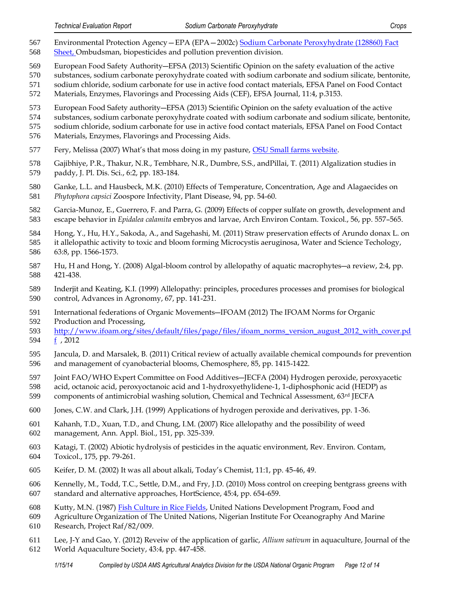- Environmental Protection Agency—EPA (EPA—2002c[\) Sodium Carbonate Peroxyhydrate \(128860\) Fact](http://www.epa.gov/opp00001/chem_search/reg_actions/registration/fs_PC-128860_01-Sep-02.pdf)  [Sheet,](http://www.epa.gov/opp00001/chem_search/reg_actions/registration/fs_PC-128860_01-Sep-02.pdf) Ombudsman, biopesticides and pollution prevention division.
- European Food Safety Authority―EFSA (2013) Scientific Opinion on the safety evaluation of the active
- substances, sodium carbonate peroxyhydrate coated with sodium carbonate and sodium silicate, bentonite,
- sodium chloride, sodium carbonate for use in active food contact materials, EFSA Panel on Food Contact
- Materials, Enzymes, Flavorings and Processing Aids (CEF), EFSA Journal, 11:4, p.3153.
- European Food Safety authority―EFSA (2013) Scientific Opinion on the safety evaluation of the active
- substances, sodium carbonate peroxyhydrate coated with sodium carbonate and sodium silicate, bentonite,
- sodium chloride, sodium carbonate for use in active food contact materials, EFSA Panel on Food Contact
- Materials, Enzymes, Flavorings and Processing Aids.
- 577 Fery, Melissa (2007) What's that moss doing in my pasture, [OSU Small farms website.](http://smallfarms.oregonstate.edu/sfn/spg07moss)
- Gajibhiye, P.R., Thakur, N.R., Tembhare, N.R., Dumbre, S.S., andPillai, T. (2011) Algalization studies in paddy, J. Pl. Dis. Sci., 6:2, pp. 183-184.
- Ganke, L.L. and Hausbeck, M.K. (2010) Effects of Temperature, Concentration, Age and Alagaecides on *Phytophora capsici* Zoospore Infectivity, Plant Disease, 94, pp. 54-60.
- Garcia-Munoz, E., Guerrero, F. and Parra, G. (2009) Effects of copper sulfate on growth, development and escape behavior in *Epidalea calamita* embryos and larvae, Arch Environ Contam. Toxicol., 56, pp. 557–565.
- Hong, Y., Hu, H.Y., Sakoda, A., and Sagehashi, M. (2011) Straw preservation effects of Arundo donax L. on
- it allelopathic activity to toxic and bloom forming Microcystis aeruginosa, Water and Science Techology, 63:8, pp. 1566-1573.
- Hu, H and Hong, Y. (2008) Algal-bloom control by allelopathy of aquatic macrophytes―a review, 2:4, pp. 421-438.
- Inderjit and Keating, K.I. (1999) Allelopathy: principles, procedures processes and promises for biological control, Advances in Agronomy, 67, pp. 141-231.
- International federations of Organic Movements―IFOAM (2012) The IFOAM Norms for Organic
- Production and Processing,
- [http://www.ifoam.org/sites/default/files/page/files/ifoam\\_norms\\_version\\_august\\_2012\\_with\\_cover.pd](http://www.ifoam.org/sites/default/files/page/files/ifoam_norms_version_august_2012_with_cover.pdf) [f](http://www.ifoam.org/sites/default/files/page/files/ifoam_norms_version_august_2012_with_cover.pdf) , 2012
- Jancula, D. and Marsalek, B. (2011) Critical review of actually available chemical compounds for prevention and management of cyanobacterial blooms, Chemosphere, 85, pp. 1415-1422.
- Joint FAO/WHO Expert Committee on Food Additives―JECFA (2004) Hydrogen peroxide, peroxyacetic
- acid, octanoic acid, peroxyoctanoic acid and 1-hydroxyethylidene-1, 1-diphosphonic acid (HEDP) as
- 599 components of antimicrobial washing solution, Chemical and Technical Assessment, 63<sup>rd</sup> JECFA
- Jones, C.W. and Clark, J.H. (1999) Applications of hydrogen peroxide and derivatives, pp. 1-36.
- Kahanh, T.D., Xuan, T.D., and Chung, I.M. (2007) Rice allelopathy and the possibility of weed management, Ann. Appl. Biol., 151, pp. 325-339.
- Katagi, T. (2002) Abiotic hydrolysis of pesticides in the aquatic environment, Rev. Environ. Contam, Toxicol., 175, pp. 79-261.
- Keifer, D. M. (2002) It was all about alkali, Today's Chemist, 11:1, pp. 45-46, 49.
- Kennelly, M., Todd, T.C., Settle, D.M., and Fry, J.D. (2010) Moss control on creeping bentgrass greens with standard and alternative approaches, HortScience, 45:4, pp. 654-659.
- Kutty, M.N. (1987) [Fish Culture in Rice Fields,](http://www.fao.org/docrep/field/003/ac180e/AC180E05.htm#ch5.1) United Nations Development Program, Food and
- Agriculture Organization of The United Nations, Nigerian Institute For Oceanography And Marine
- Research, Project Raf/82/009.
- Lee, J-Y and Gao, Y. (2012) Reveiw of the application of garlic, *Allium sativum* in aquaculture, Journal of the
- World Aquaculture Society, 43:4, pp. 447-458.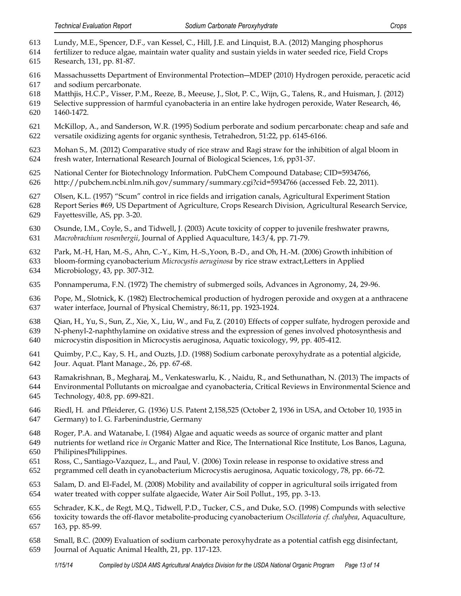- Lundy, M.E., Spencer, D.F., van Kessel, C., Hill, J.E. and Linquist, B.A. (2012) Manging phosphorus
- fertilizer to reduce algae, maintain water quality and sustain yields in water seeded rice, Field Crops Research, 131, pp. 81-87.
- Massachussetts Department of Environmental Protection―MDEP (2010) Hydrogen peroxide, peracetic acid and sodium percarbonate.
- Matthjis, H.C.P., Visser, P.M., Reeze, B., Meeuse, J., Slot, P. C., Wijn, G., Talens, R., and Huisman, J. (2012)
- Selective suppression of harmful cyanobacteria in an entire lake hydrogen peroxide, Water Research, 46, 1460-1472.
- McKillop, A., and Sanderson, W.R. (1995) Sodium perborate and sodium percarbonate: cheap and safe and versatile oxidizing agents for organic synthesis, Tetrahedron, 51:22, pp. 6145-6166.
- Mohan S., M. (2012) Comparative study of rice straw and Ragi straw for the inhibition of algal bloom in fresh water, International Research Journal of Biological Sciences, 1:6, pp31-37.
- National Center for Biotechnology Information. PubChem Compound Database; CID=5934766,
- http://pubchem.ncbi.nlm.nih.gov/summary/summary.cgi?cid=5934766 (accessed Feb. 22, 2011).
- Olsen, K.L. (1957) "Scum" control in rice fields and irrigation canals, Agricultural Experiment Station
- Report Series #69, US Department of Agriculture, Crops Research Division, Agricultural Research Service, Fayettesville, AS, pp. 3-20.
- Osunde, I.M., Coyle, S., and Tidwell, J. (2003) Acute toxicity of copper to juvenile freshwater prawns, *Macrobrachium rosenbergii*, Journal of Applied Aquaculture, 14:3/4, pp. 71-79.
- Park, M.-H, Han, M.-S., Ahn, C.-Y., Kim, H.-S.,Yoon, B.-D., and Oh, H.-M. (2006) Growth inhibition of
- bloom-forming cyanobacterium *Microcystis aeruginosa* by rice straw extract,Letters in Applied Microbiology, 43, pp. 307-312.
- Ponnamperuma, F.N. (1972) The chemistry of submerged soils, Advances in Agronomy, 24, 29-96.
- Pope, M., Slotnick, K. (1982) Electrochemical production of hydrogen peroxide and oxygen at a anthracene water interface, Journal of Physical Chemistry, 86:11, pp. 1923-1924.
- Qian, H., Yu, S., Sun, Z., Xie, X., Liu, W., and Fu, Z. (2010) Effects of copper sulfate, hydrogen peroxide and
- N-phenyl-2-naphthylamine on oxidative stress and the expression of genes involved photosynthesis and
- microcystin disposition in Microcystis aeruginosa, Aquatic toxicology, 99, pp. 405-412.
- Quimby, P.C., Kay, S. H., and Ouzts, J.D. (1988) Sodium carbonate peroxyhydrate as a potential algicide, Jour. Aquat. Plant Manage., 26, pp. 67-68.
- Ramakrishnan, B., Megharaj, M., Venkateswarlu, K. , Naidu, R., and Sethunathan, N. (2013) The impacts of
- Environmental Pollutants on microalgae and cyanobacteria, Critical Reviews in Environmental Science and Technology, 40:8, pp. 699-821.
- Riedl, H. and Pfleiderer, G. (1936) U.S. Patent 2,158,525 (October 2, 1936 in USA, and October 10, 1935 in Germany) to I. G. Farbenindustrie, Germany
- Roger, P.A. and Watanabe, I. (1984) Algae and aquatic weeds as source of organic matter and plant
- nutrients for wetland rice *in* Organic Matter and Rice, The International Rice Institute, Los Banos, Laguna, PhilipinesPhilippines.
- Ross, C., Santiago-Vazquez, L., and Paul, V. (2006) Toxin release in response to oxidative stress and
- prgrammed cell death in cyanobacterium Microcystis aeruginosa, Aquatic toxicology, 78, pp. 66-72.
- Salam, D. and El-Fadel, M. (2008) Mobility and availability of copper in agricultural soils irrigated from water treated with copper sulfate algaecide, Water Air Soil Pollut., 195, pp. 3-13.
- Schrader, K.K., de Regt, M.Q., Tidwell, P.D., Tucker, C.S., and Duke, S.O. (1998) Compunds with selective
- toxicity towards the off-flavor metabolite-producing cyanobacterium *Oscillatoria cf. chalybea*, Aquaculture, 163, pp. 85-99.
- Small, B.C. (2009) Evaluation of sodium carbonate peroxyhydrate as a potential catfish egg disinfectant, Journal of Aquatic Animal Health, 21, pp. 117-123.